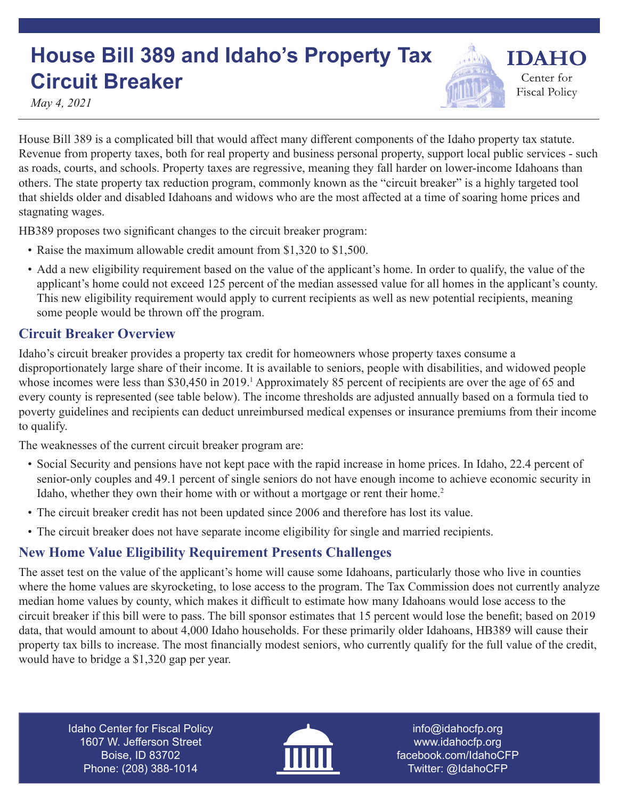## **House Bill 389 and Idaho's Property Tax Circuit Breaker**

**IDAHO** Center for

**Fiscal Policy** 

*May 4, 2021*

House Bill 389 is a complicated bill that would affect many different components of the Idaho property tax statute. Revenue from property taxes, both for real property and business personal property, support local public services - such as roads, courts, and schools. Property taxes are regressive, meaning they fall harder on lower-income Idahoans than others. The state property tax reduction program, commonly known as the "circuit breaker" is a highly targeted tool that shields older and disabled Idahoans and widows who are the most affected at a time of soaring home prices and stagnating wages.

HB389 proposes two significant changes to the circuit breaker program:

- Raise the maximum allowable credit amount from \$1,320 to \$1,500.
- Add a new eligibility requirement based on the value of the applicant's home. In order to qualify, the value of the applicant's home could not exceed 125 percent of the median assessed value for all homes in the applicant's county. This new eligibility requirement would apply to current recipients as well as new potential recipients, meaning some people would be thrown off the program.

## **Circuit Breaker Overview**

Idaho's circuit breaker provides a property tax credit for homeowners whose property taxes consume a disproportionately large share of their income. It is available to seniors, people with disabilities, and widowed people whose incomes were less than \$30,450 in 2019.<sup>1</sup> Approximately 85 percent of recipients are over the age of 65 and every county is represented (see table below). The income thresholds are adjusted annually based on a formula tied to poverty guidelines and recipients can deduct unreimbursed medical expenses or insurance premiums from their income to qualify.

The weaknesses of the current circuit breaker program are:

- Social Security and pensions have not kept pace with the rapid increase in home prices. In Idaho, 22.4 percent of senior-only couples and 49.1 percent of single seniors do not have enough income to achieve economic security in Idaho, whether they own their home with or without a mortgage or rent their home.<sup>2</sup>
- The circuit breaker credit has not been updated since 2006 and therefore has lost its value.
- The circuit breaker does not have separate income eligibility for single and married recipients.

## **New Home Value Eligibility Requirement Presents Challenges**

The asset test on the value of the applicant's home will cause some Idahoans, particularly those who live in counties where the home values are skyrocketing, to lose access to the program. The Tax Commission does not currently analyze median home values by county, which makes it difficult to estimate how many Idahoans would lose access to the circuit breaker if this bill were to pass. The bill sponsor estimates that 15 percent would lose the benefit; based on 2019 data, that would amount to about 4,000 Idaho households. For these primarily older Idahoans, HB389 will cause their property tax bills to increase. The most financially modest seniors, who currently qualify for the full value of the credit, would have to bridge a \$1,320 gap per year.

Idaho Center for Fiscal Policy 1607 W. Jefferson Street Boise, ID 83702 Phone: (208) 388-1014



info@idahocfp.org www.idahocfp.org facebook.com/IdahoCFP Twitter: @IdahoCFP